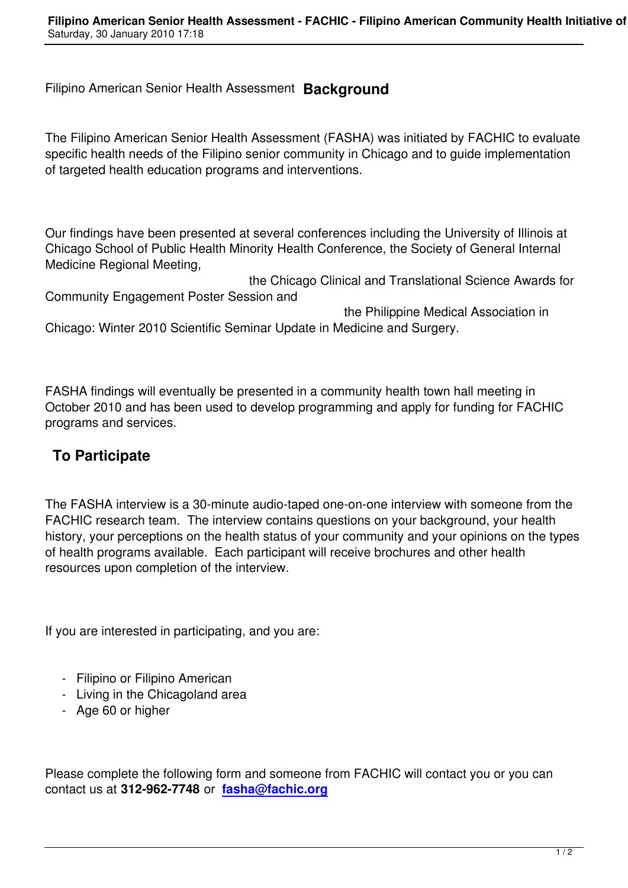The Filipino American Senior Health Assessment (FASHA) was initiated by FACHIC to evaluate specific health needs of the Filipino senior community in Chicago and to guide implementation of targeted health education programs and interventions.

Our findings have been presented at several conferences including the University of Illinois at Chicago School of Public Health Minority Health Conference, the Society of General Internal Medicine Regional Meeting,

 the Chicago Clinical and Translational Science Awards for Community Engagement Poster Session and

 the Philippine Medical Association in Chicago: Winter 2010 Scientific Seminar Update in Medicine and Surgery.

FASHA findings will eventually be presented in a community health town hall meeting in October 2010 and has been used to develop programming and apply for funding for FACHIC programs and services.

## **To Participate**

The FASHA interview is a 30-minute audio-taped one-on-one interview with someone from the FACHIC research team. The interview contains questions on your background, your health history, your perceptions on the health status of your community and your opinions on the types of health programs available. Each participant will receive brochures and other health resources upon completion of the interview.

If you are interested in participating, and you are:

- Filipino or Filipino American
- Living in the Chicagoland area
- Age 60 or higher

Please complete the following form and someone from FACHIC will contact you or you can contact us at **312-962-7748** or **fasha@fachic.org**